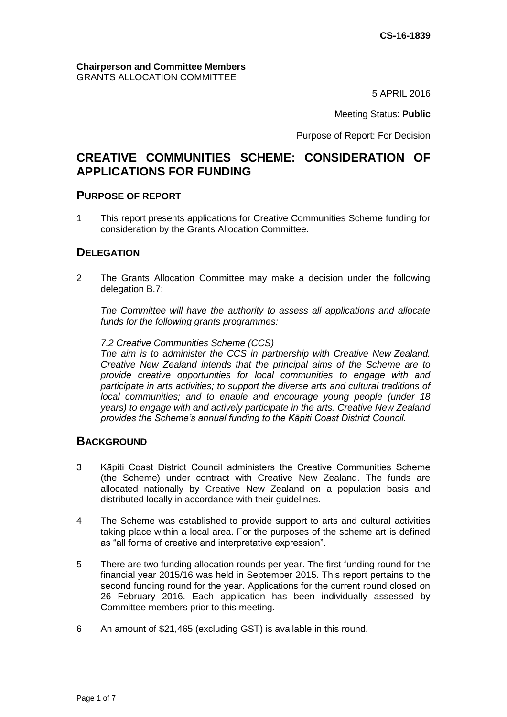#### **Chairperson and Committee Members** GRANTS ALLOCATION COMMITTEE

5 APRIL 2016

Meeting Status: **Public**

Purpose of Report: For Decision

# **CREATIVE COMMUNITIES SCHEME: CONSIDERATION OF APPLICATIONS FOR FUNDING**

#### **PURPOSE OF REPORT**

1 This report presents applications for Creative Communities Scheme funding for consideration by the Grants Allocation Committee.

## **DELEGATION**

2 The Grants Allocation Committee may make a decision under the following delegation B.7:

*The Committee will have the authority to assess all applications and allocate funds for the following grants programmes:*

*7.2 Creative Communities Scheme (CCS)*

*The aim is to administer the CCS in partnership with Creative New Zealand. Creative New Zealand intends that the principal aims of the Scheme are to provide creative opportunities for local communities to engage with and participate in arts activities; to support the diverse arts and cultural traditions of local communities; and to enable and encourage young people (under 18 years) to engage with and actively participate in the arts. Creative New Zealand provides the Scheme's annual funding to the Kāpiti Coast District Council.*

#### **BACKGROUND**

- 3 Kāpiti Coast District Council administers the Creative Communities Scheme (the Scheme) under contract with Creative New Zealand. The funds are allocated nationally by Creative New Zealand on a population basis and distributed locally in accordance with their guidelines.
- 4 The Scheme was established to provide support to arts and cultural activities taking place within a local area. For the purposes of the scheme art is defined as "all forms of creative and interpretative expression".
- 5 There are two funding allocation rounds per year. The first funding round for the financial year 2015/16 was held in September 2015. This report pertains to the second funding round for the year. Applications for the current round closed on 26 February 2016. Each application has been individually assessed by Committee members prior to this meeting.
- 6 An amount of \$21,465 (excluding GST) is available in this round.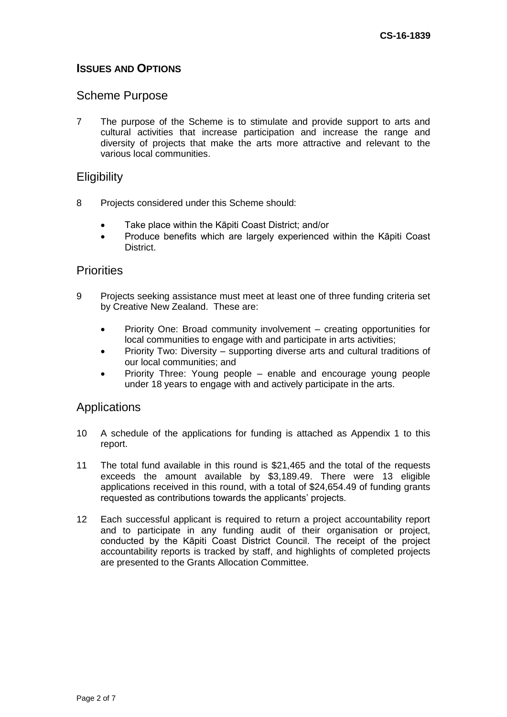## **ISSUES AND OPTIONS**

## Scheme Purpose

7 The purpose of the Scheme is to stimulate and provide support to arts and cultural activities that increase participation and increase the range and diversity of projects that make the arts more attractive and relevant to the various local communities.

## **Eligibility**

- 8 Projects considered under this Scheme should:
	- Take place within the Kāpiti Coast District; and/or
	- Produce benefits which are largely experienced within the Kāpiti Coast District.

#### **Priorities**

- 9 Projects seeking assistance must meet at least one of three funding criteria set by Creative New Zealand. These are:
	- Priority One: Broad community involvement creating opportunities for local communities to engage with and participate in arts activities;
	- Priority Two: Diversity supporting diverse arts and cultural traditions of our local communities; and
	- Priority Three: Young people enable and encourage young people under 18 years to engage with and actively participate in the arts.

## **Applications**

- 10 A schedule of the applications for funding is attached as Appendix 1 to this report.
- 11 The total fund available in this round is \$21,465 and the total of the requests exceeds the amount available by \$3,189.49. There were 13 eligible applications received in this round, with a total of \$24,654.49 of funding grants requested as contributions towards the applicants' projects.
- 12 Each successful applicant is required to return a project accountability report and to participate in any funding audit of their organisation or project, conducted by the Kāpiti Coast District Council. The receipt of the project accountability reports is tracked by staff, and highlights of completed projects are presented to the Grants Allocation Committee.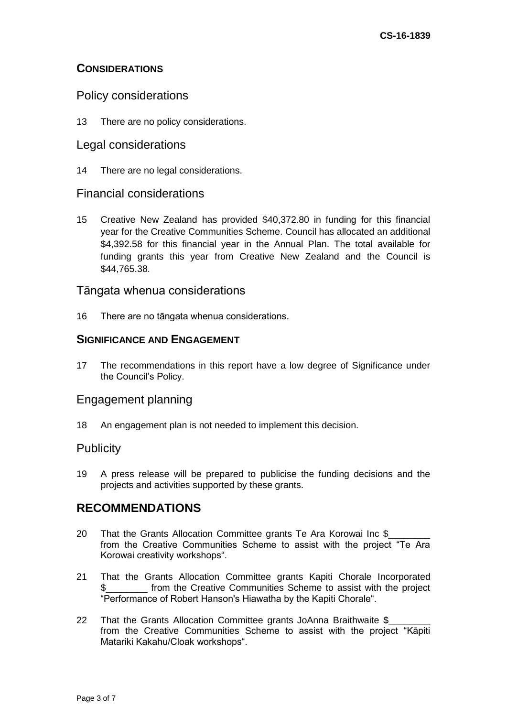## **CONSIDERATIONS**

## Policy considerations

13 There are no policy considerations.

#### Legal considerations

14 There are no legal considerations.

## Financial considerations

15 Creative New Zealand has provided \$40,372.80 in funding for this financial year for the Creative Communities Scheme. Council has allocated an additional \$4,392.58 for this financial year in the Annual Plan. The total available for funding grants this year from Creative New Zealand and the Council is \$44,765.38.

## Tāngata whenua considerations

16 There are no tāngata whenua considerations.

## **SIGNIFICANCE AND ENGAGEMENT**

17 The recommendations in this report have a low degree of Significance under the Council's Policy.

## Engagement planning

18 An engagement plan is not needed to implement this decision.

## **Publicity**

19 A press release will be prepared to publicise the funding decisions and the projects and activities supported by these grants.

# **RECOMMENDATIONS**

- 20 That the Grants Allocation Committee grants Te Ara Korowai Inc \$ from the Creative Communities Scheme to assist with the project "Te Ara Korowai creativity workshops".
- 21 That the Grants Allocation Committee grants Kapiti Chorale Incorporated \_ from the Creative Communities Scheme to assist with the project "Performance of Robert Hanson's Hiawatha by the Kapiti Chorale".
- 22 That the Grants Allocation Committee grants JoAnna Braithwaite \$ from the Creative Communities Scheme to assist with the project "Kāpiti Matariki Kakahu/Cloak workshops".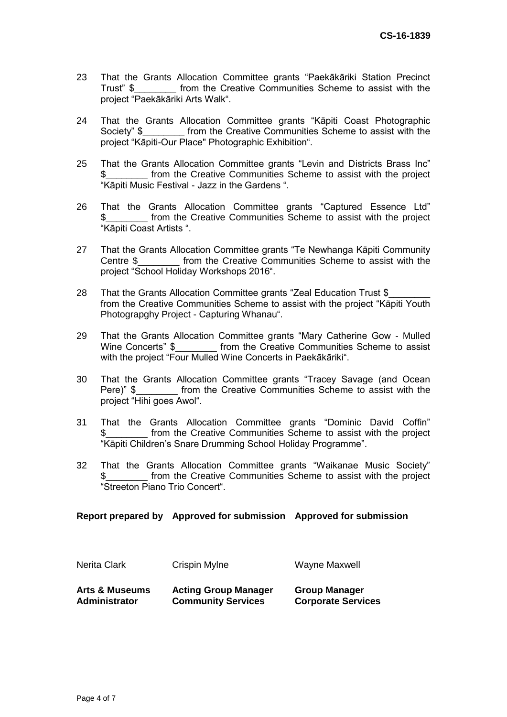- 23 That the Grants Allocation Committee grants "Paekākāriki Station Precinct Trust" \$\_\_\_\_\_\_\_\_ from the Creative Communities Scheme to assist with the project "Paekākāriki Arts Walk".
- 24 That the Grants Allocation Committee grants "Kāpiti Coast Photographic Society" \$ Trom the Creative Communities Scheme to assist with the project "Kāpiti-Our Place" Photographic Exhibition".
- 25 That the Grants Allocation Committee grants "Levin and Districts Brass Inc" \$\_\_\_\_\_\_\_\_ from the Creative Communities Scheme to assist with the project "Kāpiti Music Festival - Jazz in the Gardens ".
- 26 That the Grants Allocation Committee grants "Captured Essence Ltd" \$\_\_\_\_\_\_\_\_ from the Creative Communities Scheme to assist with the project "Kāpiti Coast Artists ".
- 27 That the Grants Allocation Committee grants "Te Newhanga Kāpiti Community Centre \$ from the Creative Communities Scheme to assist with the project "School Holiday Workshops 2016".
- 28 That the Grants Allocation Committee grants "Zeal Education Trust \$ from the Creative Communities Scheme to assist with the project "Kāpiti Youth Photograpghy Project - Capturing Whanau".
- 29 That the Grants Allocation Committee grants "Mary Catherine Gow Mulled Wine Concerts" \$\_\_\_\_\_\_\_\_\_ from the Creative Communities Scheme to assist with the project "Four Mulled Wine Concerts in Paekākāriki".
- 30 That the Grants Allocation Committee grants "Tracey Savage (and Ocean Pere)" \$ from the Creative Communities Scheme to assist with the project "Hihi goes Awol".
- 31 That the Grants Allocation Committee grants "Dominic David Coffin" from the Creative Communities Scheme to assist with the project "Kāpiti Children's Snare Drumming School Holiday Programme".
- 32 That the Grants Allocation Committee grants "Waikanae Music Society" \$\_\_\_\_\_\_\_\_ from the Creative Communities Scheme to assist with the project "Streeton Piano Trio Concert".

#### **Report prepared by Approved for submission Approved for submission**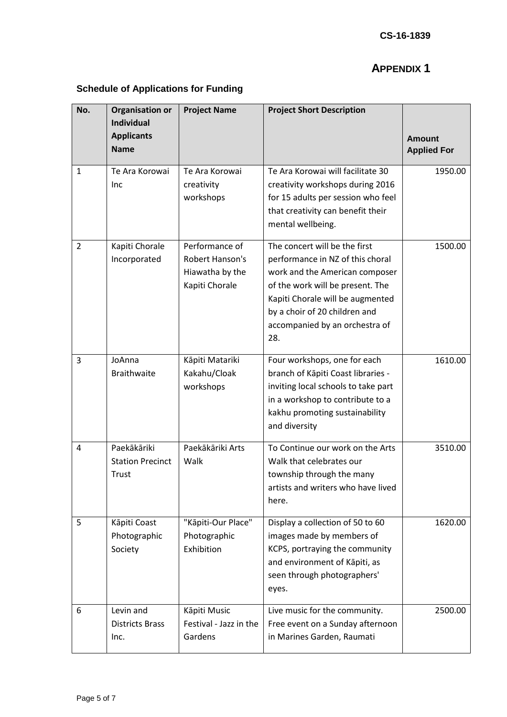# **APPENDIX 1**

# **Schedule of Applications for Funding**

| No.            | <b>Organisation or</b><br><b>Individual</b>     | <b>Project Name</b>                                                           | <b>Project Short Description</b>                                                                                                                                                                                                                      |                                     |
|----------------|-------------------------------------------------|-------------------------------------------------------------------------------|-------------------------------------------------------------------------------------------------------------------------------------------------------------------------------------------------------------------------------------------------------|-------------------------------------|
|                | <b>Applicants</b><br><b>Name</b>                |                                                                               |                                                                                                                                                                                                                                                       | <b>Amount</b><br><b>Applied For</b> |
| 1              | Te Ara Korowai<br><b>Inc</b>                    | Te Ara Korowai<br>creativity<br>workshops                                     | Te Ara Korowai will facilitate 30<br>creativity workshops during 2016<br>for 15 adults per session who feel<br>that creativity can benefit their<br>mental wellbeing.                                                                                 | 1950.00                             |
| $\overline{2}$ | Kapiti Chorale<br>Incorporated                  | Performance of<br><b>Robert Hanson's</b><br>Hiawatha by the<br>Kapiti Chorale | The concert will be the first<br>performance in NZ of this choral<br>work and the American composer<br>of the work will be present. The<br>Kapiti Chorale will be augmented<br>by a choir of 20 children and<br>accompanied by an orchestra of<br>28. | 1500.00                             |
| 3              | JoAnna<br><b>Braithwaite</b>                    | Kāpiti Matariki<br>Kakahu/Cloak<br>workshops                                  | Four workshops, one for each<br>branch of Kāpiti Coast libraries -<br>inviting local schools to take part<br>in a workshop to contribute to a<br>kakhu promoting sustainability<br>and diversity                                                      | 1610.00                             |
| 4              | Paekākāriki<br><b>Station Precinct</b><br>Trust | Paekākāriki Arts<br>Walk                                                      | To Continue our work on the Arts<br>Walk that celebrates our<br>township through the many<br>artists and writers who have lived<br>here.                                                                                                              | 3510.00                             |
| 5              | Kāpiti Coast<br>Photographic<br>Society         | "Kāpiti-Our Place"<br>Photographic<br>Exhibition                              | Display a collection of 50 to 60<br>images made by members of<br>KCPS, portraying the community<br>and environment of Kāpiti, as<br>seen through photographers'<br>eyes.                                                                              | 1620.00                             |
| 6              | Levin and<br><b>Districts Brass</b><br>Inc.     | Kāpiti Music<br>Festival - Jazz in the<br>Gardens                             | Live music for the community.<br>Free event on a Sunday afternoon<br>in Marines Garden, Raumati                                                                                                                                                       | 2500.00                             |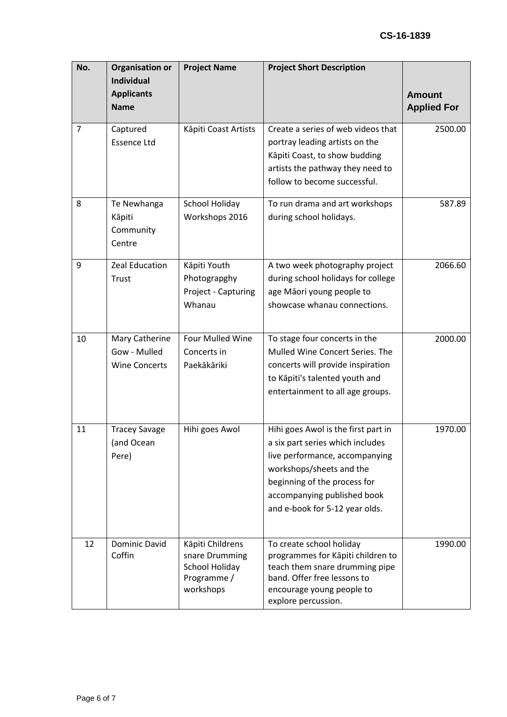| No.            | <b>Organisation or</b><br><b>Individual</b>            | <b>Project Name</b>                                                              | <b>Project Short Description</b>                                                                                                                                                                                                       |                                     |
|----------------|--------------------------------------------------------|----------------------------------------------------------------------------------|----------------------------------------------------------------------------------------------------------------------------------------------------------------------------------------------------------------------------------------|-------------------------------------|
|                | <b>Applicants</b><br><b>Name</b>                       |                                                                                  |                                                                                                                                                                                                                                        | <b>Amount</b><br><b>Applied For</b> |
| $\overline{7}$ | Captured<br><b>Essence Ltd</b>                         | Kāpiti Coast Artists                                                             | Create a series of web videos that<br>portray leading artists on the<br>Kāpiti Coast, to show budding<br>artists the pathway they need to<br>follow to become successful.                                                              | 2500.00                             |
| 8              | Te Newhanga<br>Kāpiti<br>Community<br>Centre           | <b>School Holiday</b><br>Workshops 2016                                          | To run drama and art workshops<br>during school holidays.                                                                                                                                                                              | 587.89                              |
| 9              | Zeal Education<br>Trust                                | Kāpiti Youth<br>Photograpghy<br>Project - Capturing<br>Whanau                    | A two week photography project<br>during school holidays for college<br>age Māori young people to<br>showcase whanau connections.                                                                                                      | 2066.60                             |
| 10             | Mary Catherine<br>Gow - Mulled<br><b>Wine Concerts</b> | Four Mulled Wine<br>Concerts in<br>Paekākāriki                                   | To stage four concerts in the<br>Mulled Wine Concert Series. The<br>concerts will provide inspiration<br>to Kāpiti's talented youth and<br>entertainment to all age groups.                                                            | 2000.00                             |
| 11             | <b>Tracey Savage</b><br>(and Ocean<br>Pere)            | Hihi goes Awol                                                                   | Hihi goes Awol is the first part in<br>a six part series which includes<br>live performance, accompanying<br>workshops/sheets and the<br>beginning of the process for<br>accompanying published book<br>and e-book for 5-12 year olds. | 1970.00                             |
| 12             | Dominic David<br>Coffin                                | Kāpiti Childrens<br>snare Drumming<br>School Holiday<br>Programme /<br>workshops | To create school holiday<br>programmes for Kāpiti children to<br>teach them snare drumming pipe<br>band. Offer free lessons to<br>encourage young people to<br>explore percussion.                                                     | 1990.00                             |